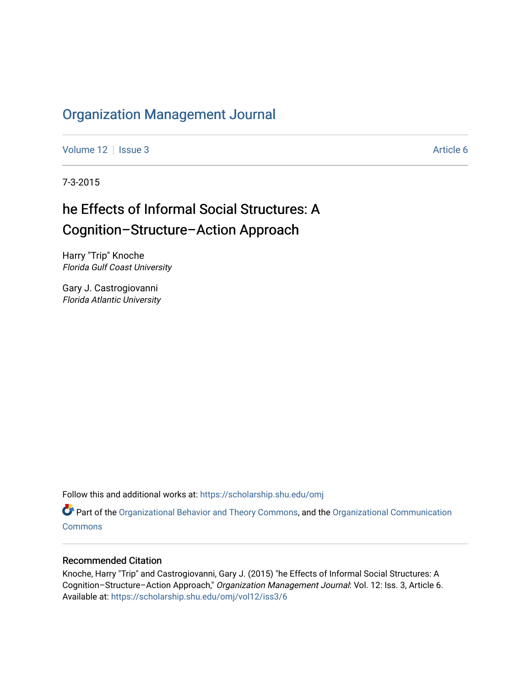## [Organization Management Journal](https://scholarship.shu.edu/omj)

[Volume 12](https://scholarship.shu.edu/omj/vol12) | [Issue 3](https://scholarship.shu.edu/omj/vol12/iss3) Article 6

7-3-2015

# he Effects of Informal Social Structures: A Cognition–Structure–Action Approach

Harry "Trip" Knoche Florida Gulf Coast University

Gary J. Castrogiovanni Florida Atlantic University

Follow this and additional works at: [https://scholarship.shu.edu/omj](https://scholarship.shu.edu/omj?utm_source=scholarship.shu.edu%2Fomj%2Fvol12%2Fiss3%2F6&utm_medium=PDF&utm_campaign=PDFCoverPages) 

Part of the [Organizational Behavior and Theory Commons,](http://network.bepress.com/hgg/discipline/639?utm_source=scholarship.shu.edu%2Fomj%2Fvol12%2Fiss3%2F6&utm_medium=PDF&utm_campaign=PDFCoverPages) and the [Organizational Communication](http://network.bepress.com/hgg/discipline/335?utm_source=scholarship.shu.edu%2Fomj%2Fvol12%2Fiss3%2F6&utm_medium=PDF&utm_campaign=PDFCoverPages) **[Commons](http://network.bepress.com/hgg/discipline/335?utm_source=scholarship.shu.edu%2Fomj%2Fvol12%2Fiss3%2F6&utm_medium=PDF&utm_campaign=PDFCoverPages)** 

## Recommended Citation

Knoche, Harry "Trip" and Castrogiovanni, Gary J. (2015) "he Effects of Informal Social Structures: A Cognition–Structure–Action Approach," Organization Management Journal: Vol. 12: Iss. 3, Article 6. Available at: [https://scholarship.shu.edu/omj/vol12/iss3/6](https://scholarship.shu.edu/omj/vol12/iss3/6?utm_source=scholarship.shu.edu%2Fomj%2Fvol12%2Fiss3%2F6&utm_medium=PDF&utm_campaign=PDFCoverPages)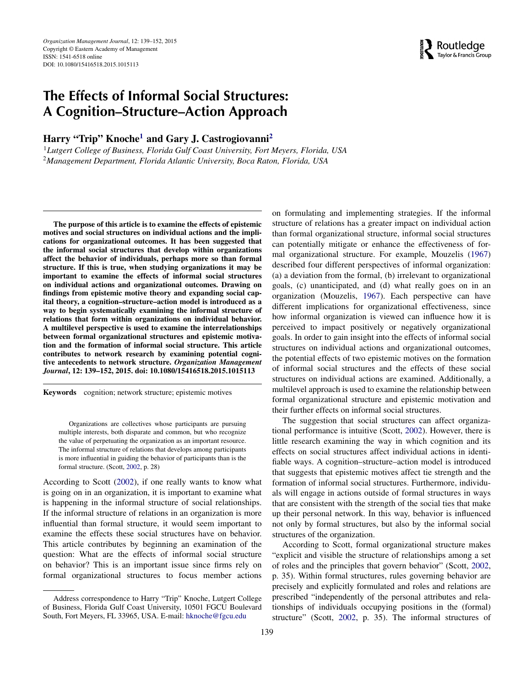

## **The Effects of Informal Social Structures: A Cognition–Structure–Action Approach**

## **Harry "Trip" Knoch[e1](#page-1-0) and Gary J. Castrogiovanni[2](#page-1-0)**

<span id="page-1-0"></span><sup>1</sup>*Lutgert College of Business, Florida Gulf Coast University, Fort Meyers, Florida, USA* <sup>2</sup>*Management Department, Florida Atlantic University, Boca Raton, Florida, USA*

**The purpose of this article is to examine the effects of epistemic motives and social structures on individual actions and the implications for organizational outcomes. It has been suggested that the informal social structures that develop within organizations affect the behavior of individuals, perhaps more so than formal structure. If this is true, when studying organizations it may be important to examine the effects of informal social structures on individual actions and organizational outcomes. Drawing on findings from epistemic motive theory and expanding social capital theory, a cognition–structure–action model is introduced as a way to begin systematically examining the informal structure of relations that form within organizations on individual behavior. A multilevel perspective is used to examine the interrelationships between formal organizational structures and epistemic motivation and the formation of informal social structure. This article contributes to network research by examining potential cognitive antecedents to network structure.** *Organization Management Journal***, 12: 139–152, 2015. doi: 10.1080/15416518.2015.1015113**

**Keywords** cognition; network structure; epistemic motives

Organizations are collectives whose participants are pursuing multiple interests, both disparate and common, but who recognize the value of perpetuating the organization as an important resource. The informal structure of relations that develops among participants is more influential in guiding the behavior of participants than is the formal structure. (Scott, [2002,](#page-14-0) p. 28)

According to Scott [\(2002\)](#page-14-0), if one really wants to know what is going on in an organization, it is important to examine what is happening in the informal structure of social relationships. If the informal structure of relations in an organization is more influential than formal structure, it would seem important to examine the effects these social structures have on behavior. This article contributes by beginning an examination of the question: What are the effects of informal social structure on behavior? This is an important issue since firms rely on formal organizational structures to focus member actions on formulating and implementing strategies. If the informal structure of relations has a greater impact on individual action than formal organizational structure, informal social structures can potentially mitigate or enhance the effectiveness of formal organizational structure. For example, Mouzelis [\(1967\)](#page-14-1) described four different perspectives of informal organization: (a) a deviation from the formal, (b) irrelevant to organizational goals, (c) unanticipated, and (d) what really goes on in an organization (Mouzelis, [1967\)](#page-14-1). Each perspective can have different implications for organizational effectiveness, since how informal organization is viewed can influence how it is perceived to impact positively or negatively organizational goals. In order to gain insight into the effects of informal social structures on individual actions and organizational outcomes, the potential effects of two epistemic motives on the formation of informal social structures and the effects of these social structures on individual actions are examined. Additionally, a multilevel approach is used to examine the relationship between formal organizational structure and epistemic motivation and their further effects on informal social structures.

The suggestion that social structures can affect organizational performance is intuitive (Scott, [2002\)](#page-14-0). However, there is little research examining the way in which cognition and its effects on social structures affect individual actions in identifiable ways. A cognition–structure–action model is introduced that suggests that epistemic motives affect tie strength and the formation of informal social structures. Furthermore, individuals will engage in actions outside of formal structures in ways that are consistent with the strength of the social ties that make up their personal network. In this way, behavior is influenced not only by formal structures, but also by the informal social structures of the organization.

According to Scott, formal organizational structure makes "explicit and visible the structure of relationships among a set of roles and the principles that govern behavior" (Scott, [2002,](#page-14-0) p. 35). Within formal structures, rules governing behavior are precisely and explicitly formulated and roles and relations are prescribed "independently of the personal attributes and relationships of individuals occupying positions in the (formal) structure" (Scott, [2002,](#page-14-0) p. 35). The informal structures of

Address correspondence to Harry "Trip" Knoche, Lutgert College of Business, Florida Gulf Coast University, 10501 FGCU Boulevard South, Fort Meyers, FL 33965, USA. E-mail: [hknoche@fgcu.edu](mailto:hknoche@fgcu.edu)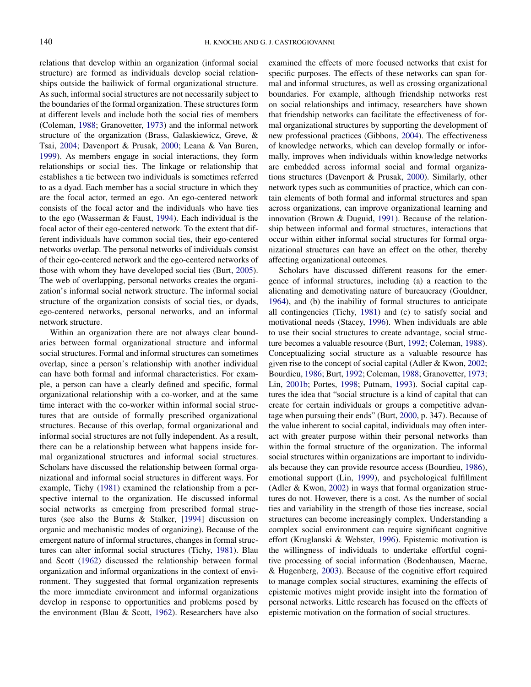relations that develop within an organization (informal social structure) are formed as individuals develop social relationships outside the bailiwick of formal organizational structure. As such, informal social structures are not necessarily subject to the boundaries of the formal organization. These structures form at different levels and include both the social ties of members (Coleman, [1988;](#page-13-0) Granovetter, [1973\)](#page-13-1) and the informal network structure of the organization (Brass, Galaskiewicz, Greve, & Tsai, [2004;](#page-12-0) Davenport & Prusak, [2000;](#page-13-2) Leana & Van Buren, [1999\)](#page-13-3). As members engage in social interactions, they form relationships or social ties. The linkage or relationship that establishes a tie between two individuals is sometimes referred to as a dyad. Each member has a social structure in which they are the focal actor, termed an ego. An ego-centered network consists of the focal actor and the individuals who have ties to the ego (Wasserman & Faust, [1994\)](#page-14-2). Each individual is the focal actor of their ego-centered network. To the extent that different individuals have common social ties, their ego-centered networks overlap. The personal networks of individuals consist of their ego-centered network and the ego-centered networks of those with whom they have developed social ties (Burt, [2005\)](#page-12-1). The web of overlapping, personal networks creates the organization's informal social network structure. The informal social structure of the organization consists of social ties, or dyads, ego-centered networks, personal networks, and an informal network structure.

Within an organization there are not always clear boundaries between formal organizational structure and informal social structures. Formal and informal structures can sometimes overlap, since a person's relationship with another individual can have both formal and informal characteristics. For example, a person can have a clearly defined and specific, formal organizational relationship with a co-worker, and at the same time interact with the co-worker within informal social structures that are outside of formally prescribed organizational structures. Because of this overlap, formal organizational and informal social structures are not fully independent. As a result, there can be a relationship between what happens inside formal organizational structures and informal social structures. Scholars have discussed the relationship between formal organizational and informal social structures in different ways. For example, Tichy [\(1981\)](#page-14-3) examined the relationship from a perspective internal to the organization. He discussed informal social networks as emerging from prescribed formal structures (see also the Burns & Stalker, [\[1994\]](#page-12-2) discussion on organic and mechanistic modes of organizing). Because of the emergent nature of informal structures, changes in formal structures can alter informal social structures (Tichy, [1981\)](#page-14-3). Blau and Scott [\(1962\)](#page-12-3) discussed the relationship between formal organization and informal organizations in the context of environment. They suggested that formal organization represents the more immediate environment and informal organizations develop in response to opportunities and problems posed by the environment (Blau & Scott, [1962\)](#page-12-3). Researchers have also

examined the effects of more focused networks that exist for specific purposes. The effects of these networks can span formal and informal structures, as well as crossing organizational boundaries. For example, although friendship networks rest on social relationships and intimacy, researchers have shown that friendship networks can facilitate the effectiveness of formal organizational structures by supporting the development of new professional practices (Gibbons, [2004\)](#page-13-4). The effectiveness of knowledge networks, which can develop formally or informally, improves when individuals within knowledge networks are embedded across informal social and formal organizations structures (Davenport & Prusak, [2000\)](#page-13-2). Similarly, other network types such as communities of practice, which can contain elements of both formal and informal structures and span across organizations, can improve organizational learning and innovation (Brown & Duguid, [1991\)](#page-12-4). Because of the relationship between informal and formal structures, interactions that occur within either informal social structures for formal organizational structures can have an effect on the other, thereby affecting organizational outcomes.

Scholars have discussed different reasons for the emergence of informal structures, including (a) a reaction to the alienating and demotivating nature of bureaucracy (Gouldner, [1964\)](#page-13-5), and (b) the inability of formal structures to anticipate all contingencies (Tichy, [1981\)](#page-14-3) and (c) to satisfy social and motivational needs (Stacey, [1996\)](#page-14-4). When individuals are able to use their social structures to create advantage, social structure becomes a valuable resource (Burt, [1992;](#page-12-5) Coleman, [1988\)](#page-13-0). Conceptualizing social structure as a valuable resource has given rise to the concept of social capital (Adler & Kwon, [2002;](#page-12-6) Bourdieu, [1986;](#page-12-7) Burt, [1992;](#page-12-5) Coleman, [1988;](#page-13-0) Granovetter, [1973;](#page-13-1) Lin, [2001b;](#page-13-6) Portes, [1998;](#page-14-5) Putnam, [1993\)](#page-14-6). Social capital captures the idea that "social structure is a kind of capital that can create for certain individuals or groups a competitive advantage when pursuing their ends" (Burt, [2000,](#page-12-8) p. 347). Because of the value inherent to social capital, individuals may often interact with greater purpose within their personal networks than within the formal structure of the organization. The informal social structures within organizations are important to individuals because they can provide resource access (Bourdieu, [1986\)](#page-12-7), emotional support (Lin, [1999\)](#page-13-7), and psychological fulfillment (Adler & Kwon, [2002\)](#page-12-6) in ways that formal organization structures do not. However, there is a cost. As the number of social ties and variability in the strength of those ties increase, social structures can become increasingly complex. Understanding a complex social environment can require significant cognitive effort (Kruglanski & Webster, [1996\)](#page-13-8). Epistemic motivation is the willingness of individuals to undertake effortful cognitive processing of social information (Bodenhausen, Macrae, & Hugenberg, [2003\)](#page-12-9). Because of the cognitive effort required to manage complex social structures, examining the effects of epistemic motives might provide insight into the formation of personal networks. Little research has focused on the effects of epistemic motivation on the formation of social structures.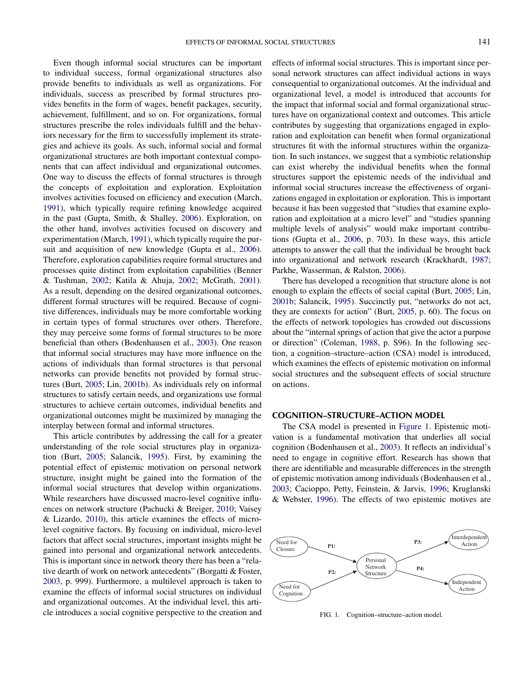Even though informal social structures can be important to individual success, formal organizational structures also provide benefits to individuals as well as organizations. For individuals, success as prescribed by formal structures provides benefits in the form of wages, benefit packages, security, achievement, fulfillment, and so on. For organizations, formal structures prescribe the roles individuals fulfill and the behaviors necessary for the firm to successfully implement its strategies and achieve its goals. As such, informal social and formal organizational structures are both important contextual components that can affect individual and organizational outcomes. One way to discuss the effects of formal structures is through the concepts of exploitation and exploration. Exploitation involves activities focused on efficiency and execution (March, [1991\)](#page-13-9), which typically require refining knowledge acquired in the past (Gupta, Smith, & Shalley, [2006\)](#page-13-10). Exploration, on the other hand, involves activities focused on discovery and experimentation (March, [1991\)](#page-13-9), which typically require the pursuit and acquisition of new knowledge (Gupta et al., [2006\)](#page-13-10). Therefore, exploration capabilities require formal structures and processes quite distinct from exploitation capabilities (Benner & Tushman, [2002;](#page-12-10) Katila & Ahuja, [2002;](#page-13-11) McGrath, [2001\)](#page-13-12). As a result, depending on the desired organizational outcomes, different formal structures will be required. Because of cognitive differences, individuals may be more comfortable working in certain types of formal structures over others. Therefore, they may perceive some forms of formal structures to be more beneficial than others (Bodenhausen et al., [2003\)](#page-12-9). One reason that informal social structures may have more influence on the actions of individuals than formal structures is that personal networks can provide benefits not provided by formal structures (Burt, [2005;](#page-12-1) Lin, [2001b\)](#page-13-6). As individuals rely on informal structures to satisfy certain needs, and organizations use formal structures to achieve certain outcomes, individual benefits and organizational outcomes might be maximized by managing the interplay between formal and informal structures.

This article contributes by addressing the call for a greater understanding of the role social structures play in organization (Burt, [2005;](#page-12-1) Salancik, [1995\)](#page-14-7). First, by examining the potential effect of epistemic motivation on personal network structure, insight might be gained into the formation of the informal social structures that develop within organizations. While researchers have discussed macro-level cognitive influences on network structure (Pachucki & Breiger, [2010;](#page-14-8) Vaisey & Lizardo, [2010\)](#page-14-9), this article examines the effects of microlevel cognitive factors. By focusing on individual, micro-level factors that affect social structures, important insights might be gained into personal and organizational network antecedents. This is important since in network theory there has been a "relative dearth of work on network antecedents" (Borgatti & Foster, [2003,](#page-12-11) p. 999). Furthermore, a multilevel approach is taken to examine the effects of informal social structures on individual and organizational outcomes. At the individual level, this article introduces a social cognitive perspective to the creation and effects of informal social structures. This is important since personal network structures can affect individual actions in ways consequential to organizational outcomes. At the individual and organizational level, a model is introduced that accounts for the impact that informal social and formal organizational structures have on organizational context and outcomes. This article contributes by suggesting that organizations engaged in exploration and exploitation can benefit when formal organizational structures fit with the informal structures within the organization. In such instances, we suggest that a symbiotic relationship can exist whereby the individual benefits when the formal structures support the epistemic needs of the individual and informal social structures increase the effectiveness of organizations engaged in exploitation or exploration. This is important because it has been suggested that "studies that examine exploration and exploitation at a micro level" and "studies spanning multiple levels of analysis" would make important contributions (Gupta et al., [2006,](#page-13-10) p. 703). In these ways, this article attempts to answer the call that the individual be brought back into organizational and network research (Krackhardt, [1987;](#page-13-13) Parkhe, Wasserman, & Ralston, [2006\)](#page-14-10).

There has developed a recognition that structure alone is not enough to explain the effects of social capital (Burt, [2005;](#page-12-1) Lin, [2001b;](#page-13-6) Salancik, [1995\)](#page-14-7). Succinctly put, "networks do not act, they are contexts for action" (Burt, [2005,](#page-12-1) p. 60). The focus on the effects of network topologies has crowded out discussions about the "internal springs of action that give the actor a purpose or direction" (Coleman, [1988,](#page-13-0) p. S96). In the following section, a cognition–structure–action (CSA) model is introduced, which examines the effects of epistemic motivation on informal social structures and the subsequent effects of social structure on actions.

#### **COGNITION–STRUCTURE–ACTION MODEL**

The CSA model is presented in [Figure 1.](#page-3-0) Epistemic motivation is a fundamental motivation that underlies all social cognition (Bodenhausen et al., [2003\)](#page-12-9). It reflects an individual's need to engage in cognitive effort. Research has shown that there are identifiable and measurable differences in the strength of epistemic motivation among individuals (Bodenhausen et al., [2003;](#page-12-9) Cacioppo, Petty, Feinstein, & Jarvis, [1996;](#page-12-12) Kruglanski & Webster, [1996\)](#page-13-8). The effects of two epistemic motives are

<span id="page-3-0"></span>

FIG. 1. Cognition–structure–action model.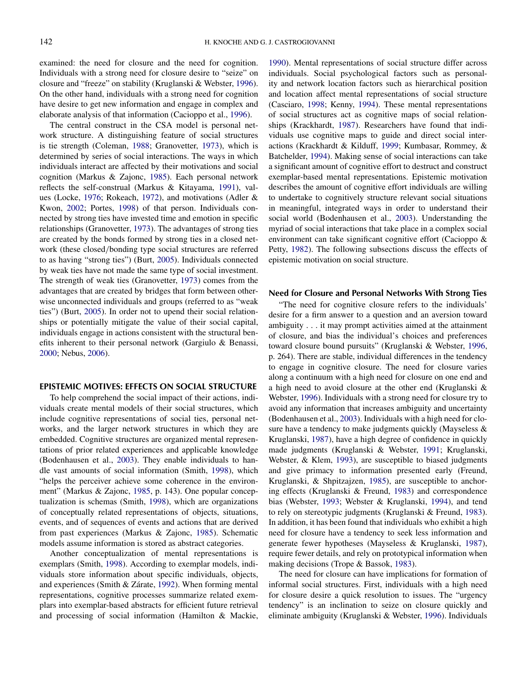examined: the need for closure and the need for cognition. Individuals with a strong need for closure desire to "seize" on closure and "freeze" on stability (Kruglanski & Webster, [1996\)](#page-13-8). On the other hand, individuals with a strong need for cognition have desire to get new information and engage in complex and elaborate analysis of that information (Cacioppo et al., [1996\)](#page-12-12).

The central construct in the CSA model is personal network structure. A distinguishing feature of social structures is tie strength (Coleman, [1988;](#page-13-0) Granovetter, [1973\)](#page-13-1), which is determined by series of social interactions. The ways in which individuals interact are affected by their motivations and social cognition (Markus & Zajonc, [1985\)](#page-13-14). Each personal network reflects the self-construal (Markus & Kitayama, [1991\)](#page-13-15), values (Locke, [1976;](#page-13-16) Rokeach, [1972\)](#page-14-11), and motivations (Adler & Kwon, [2002;](#page-12-6) Portes, [1998\)](#page-14-5) of that person. Individuals connected by strong ties have invested time and emotion in specific relationships (Granovetter, [1973\)](#page-13-1). The advantages of strong ties are created by the bonds formed by strong ties in a closed network (these closed*/*bonding type social structures are referred to as having "strong ties") (Burt, [2005\)](#page-12-1). Individuals connected by weak ties have not made the same type of social investment. The strength of weak ties (Granovetter, [1973\)](#page-13-1) comes from the advantages that are created by bridges that form between otherwise unconnected individuals and groups (referred to as "weak ties") (Burt, [2005\)](#page-12-1). In order not to upend their social relationships or potentially mitigate the value of their social capital, individuals engage in actions consistent with the structural benefits inherent to their personal network (Gargiulo & Benassi, [2000;](#page-13-17) Nebus, [2006\)](#page-14-12).

### **EPISTEMIC MOTIVES: EFFECTS ON SOCIAL STRUCTURE**

To help comprehend the social impact of their actions, individuals create mental models of their social structures, which include cognitive representations of social ties, personal networks, and the larger network structures in which they are embedded. Cognitive structures are organized mental representations of prior related experiences and applicable knowledge (Bodenhausen et al., [2003\)](#page-12-9). They enable individuals to handle vast amounts of social information (Smith, [1998\)](#page-14-13), which "helps the perceiver achieve some coherence in the environment" (Markus & Zajonc, [1985,](#page-13-14) p. 143). One popular conceptualization is schemas (Smith, [1998\)](#page-14-13), which are organizations of conceptually related representations of objects, situations, events, and of sequences of events and actions that are derived from past experiences (Markus & Zajonc, [1985\)](#page-13-14). Schematic models assume information is stored as abstract categories.

Another conceptualization of mental representations is exemplars (Smith, [1998\)](#page-14-13). According to exemplar models, individuals store information about specific individuals, objects, and experiences (Smith & Zárate, [1992\)](#page-14-14). When forming mental representations, cognitive processes summarize related exemplars into exemplar-based abstracts for efficient future retrieval and processing of social information (Hamilton & Mackie, [1990\)](#page-13-18). Mental representations of social structure differ across individuals. Social psychological factors such as personality and network location factors such as hierarchical position and location affect mental representations of social structure (Casciaro, [1998;](#page-13-19) Kenny, [1994\)](#page-13-20). These mental representations of social structures act as cognitive maps of social relationships (Krackhardt, [1987\)](#page-13-13). Researchers have found that individuals use cognitive maps to guide and direct social interactions (Krackhardt & Kilduff, [1999;](#page-13-21) Kumbasar, Rommey, & Batchelder, [1994\)](#page-13-22). Making sense of social interactions can take a significant amount of cognitive effort to destruct and construct exemplar-based mental representations. Epistemic motivation describes the amount of cognitive effort individuals are willing to undertake to cognitively structure relevant social situations in meaningful, integrated ways in order to understand their social world (Bodenhausen et al., [2003\)](#page-12-9). Understanding the myriad of social interactions that take place in a complex social environment can take significant cognitive effort (Cacioppo & Petty, [1982\)](#page-12-13). The following subsections discuss the effects of epistemic motivation on social structure.

## **Need for Closure and Personal Networks With Strong Ties**

"The need for cognitive closure refers to the individuals' desire for a firm answer to a question and an aversion toward ambiguity *...* it may prompt activities aimed at the attainment of closure, and bias the individual's choices and preferences toward closure bound pursuits" (Kruglanski & Webster, [1996,](#page-13-8) p. 264). There are stable, individual differences in the tendency to engage in cognitive closure. The need for closure varies along a continuum with a high need for closure on one end and a high need to avoid closure at the other end (Kruglanski & Webster, [1996\)](#page-13-8). Individuals with a strong need for closure try to avoid any information that increases ambiguity and uncertainty (Bodenhausen et al., [2003\)](#page-12-9). Individuals with a high need for closure have a tendency to make judgments quickly (Mayseless & Kruglanski, [1987\)](#page-13-23), have a high degree of confidence in quickly made judgments (Kruglanski & Webster, [1991;](#page-13-24) Kruglanski, Webster, & Klem, [1993\)](#page-13-25), are susceptible to biased judgments and give primacy to information presented early (Freund, Kruglanski, & Shpitzajzen, [1985\)](#page-13-26), are susceptible to anchoring effects (Kruglanski & Freund, [1983\)](#page-13-27) and correspondence bias (Webster, [1993;](#page-14-15) Webster & Kruglanski, [1994\)](#page-14-16), and tend to rely on stereotypic judgments (Kruglanski & Freund, [1983\)](#page-13-27). In addition, it has been found that individuals who exhibit a high need for closure have a tendency to seek less information and generate fewer hypotheses (Mayseless & Kruglanski, [1987\)](#page-13-23), require fewer details, and rely on prototypical information when making decisions (Trope & Bassok, [1983\)](#page-14-17).

The need for closure can have implications for formation of informal social structures. First, individuals with a high need for closure desire a quick resolution to issues. The "urgency tendency" is an inclination to seize on closure quickly and eliminate ambiguity (Kruglanski & Webster, [1996\)](#page-13-8). Individuals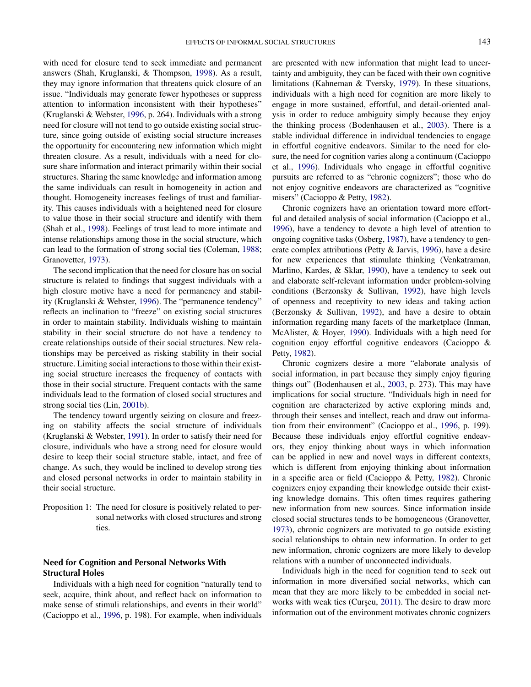with need for closure tend to seek immediate and permanent answers (Shah, Kruglanski, & Thompson, [1998\)](#page-14-18). As a result, they may ignore information that threatens quick closure of an issue. "Individuals may generate fewer hypotheses or suppress attention to information inconsistent with their hypotheses" (Kruglanski & Webster, [1996,](#page-13-8) p. 264). Individuals with a strong need for closure will not tend to go outside existing social structure, since going outside of existing social structure increases the opportunity for encountering new information which might threaten closure. As a result, individuals with a need for closure share information and interact primarily within their social structures. Sharing the same knowledge and information among the same individuals can result in homogeneity in action and thought. Homogeneity increases feelings of trust and familiarity. This causes individuals with a heightened need for closure to value those in their social structure and identify with them (Shah et al., [1998\)](#page-14-18). Feelings of trust lead to more intimate and intense relationships among those in the social structure, which can lead to the formation of strong social ties (Coleman, [1988;](#page-13-0) Granovetter, [1973\)](#page-13-1).

The second implication that the need for closure has on social structure is related to findings that suggest individuals with a high closure motive have a need for permanency and stability (Kruglanski & Webster, [1996\)](#page-13-8). The "permanence tendency" reflects an inclination to "freeze" on existing social structures in order to maintain stability. Individuals wishing to maintain stability in their social structure do not have a tendency to create relationships outside of their social structures. New relationships may be perceived as risking stability in their social structure. Limiting social interactions to those within their existing social structure increases the frequency of contacts with those in their social structure. Frequent contacts with the same individuals lead to the formation of closed social structures and strong social ties (Lin, [2001b\)](#page-13-6).

The tendency toward urgently seizing on closure and freezing on stability affects the social structure of individuals (Kruglanski & Webster, [1991\)](#page-13-24). In order to satisfy their need for closure, individuals who have a strong need for closure would desire to keep their social structure stable, intact, and free of change. As such, they would be inclined to develop strong ties and closed personal networks in order to maintain stability in their social structure.

Proposition 1: The need for closure is positively related to personal networks with closed structures and strong ties.

## **Need for Cognition and Personal Networks With Structural Holes**

Individuals with a high need for cognition "naturally tend to seek, acquire, think about, and reflect back on information to make sense of stimuli relationships, and events in their world" (Cacioppo et al., [1996,](#page-12-12) p. 198). For example, when individuals are presented with new information that might lead to uncertainty and ambiguity, they can be faced with their own cognitive limitations (Kahneman & Tversky, [1979\)](#page-13-28). In these situations, individuals with a high need for cognition are more likely to engage in more sustained, effortful, and detail-oriented analysis in order to reduce ambiguity simply because they enjoy the thinking process (Bodenhausen et al., [2003\)](#page-12-9). There is a stable individual difference in individual tendencies to engage in effortful cognitive endeavors. Similar to the need for closure, the need for cognition varies along a continuum (Cacioppo et al., [1996\)](#page-12-12). Individuals who engage in effortful cognitive pursuits are referred to as "chronic cognizers"; those who do not enjoy cognitive endeavors are characterized as "cognitive misers" (Cacioppo & Petty, [1982\)](#page-12-13).

Chronic cognizers have an orientation toward more effortful and detailed analysis of social information (Cacioppo et al., [1996\)](#page-12-12), have a tendency to devote a high level of attention to ongoing cognitive tasks (Osberg, [1987\)](#page-14-19), have a tendency to generate complex attributions (Petty & Jarvis, [1996\)](#page-14-20), have a desire for new experiences that stimulate thinking (Venkatraman, Marlino, Kardes, & Sklar, [1990\)](#page-14-21), have a tendency to seek out and elaborate self-relevant information under problem-solving conditions (Berzonsky & Sullivan, [1992\)](#page-12-14), have high levels of openness and receptivity to new ideas and taking action (Berzonsky & Sullivan, [1992\)](#page-12-14), and have a desire to obtain information regarding many facets of the marketplace (Inman, McAlister, & Hoyer, [1990\)](#page-13-29). Individuals with a high need for cognition enjoy effortful cognitive endeavors (Cacioppo & Petty, [1982\)](#page-12-13).

Chronic cognizers desire a more "elaborate analysis of social information, in part because they simply enjoy figuring things out" (Bodenhausen et al., [2003,](#page-12-9) p. 273). This may have implications for social structure. "Individuals high in need for cognition are characterized by active exploring minds and, through their senses and intellect, reach and draw out information from their environment" (Cacioppo et al., [1996,](#page-12-12) p. 199). Because these individuals enjoy effortful cognitive endeavors, they enjoy thinking about ways in which information can be applied in new and novel ways in different contexts, which is different from enjoying thinking about information in a specific area or field (Cacioppo & Petty, [1982\)](#page-12-13). Chronic cognizers enjoy expanding their knowledge outside their existing knowledge domains. This often times requires gathering new information from new sources. Since information inside closed social structures tends to be homogeneous (Granovetter, [1973\)](#page-13-1), chronic cognizers are motivated to go outside existing social relationships to obtain new information. In order to get new information, chronic cognizers are more likely to develop relations with a number of unconnected individuals.

Individuals high in the need for cognition tend to seek out information in more diversified social networks, which can mean that they are more likely to be embedded in social net-works with weak ties (Curșeu, [2011\)](#page-13-30). The desire to draw more information out of the environment motivates chronic cognizers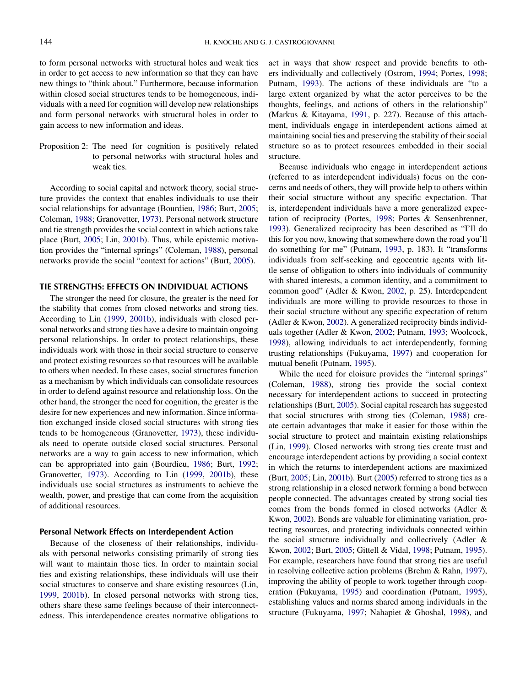to form personal networks with structural holes and weak ties in order to get access to new information so that they can have new things to "think about." Furthermore, because information within closed social structures tends to be homogeneous, individuals with a need for cognition will develop new relationships and form personal networks with structural holes in order to gain access to new information and ideas.

Proposition 2: The need for cognition is positively related to personal networks with structural holes and weak ties.

According to social capital and network theory, social structure provides the context that enables individuals to use their social relationships for advantage (Bourdieu, [1986;](#page-12-7) Burt, [2005;](#page-12-1) Coleman, [1988;](#page-13-0) Granovetter, [1973\)](#page-13-1). Personal network structure and tie strength provides the social context in which actions take place (Burt, [2005;](#page-12-1) Lin, [2001b\)](#page-13-6). Thus, while epistemic motivation provides the "internal springs" (Coleman, [1988\)](#page-13-0), personal networks provide the social "context for actions" (Burt, [2005\)](#page-12-1).

## **TIE STRENGTHS: EFFECTS ON INDIVIDUAL ACTIONS**

The stronger the need for closure, the greater is the need for the stability that comes from closed networks and strong ties. According to Lin [\(1999,](#page-13-7) [2001b\)](#page-13-6), individuals with closed personal networks and strong ties have a desire to maintain ongoing personal relationships. In order to protect relationships, these individuals work with those in their social structure to conserve and protect existing resources so that resources will be available to others when needed. In these cases, social structures function as a mechanism by which individuals can consolidate resources in order to defend against resource and relationship loss. On the other hand, the stronger the need for cognition, the greater is the desire for new experiences and new information. Since information exchanged inside closed social structures with strong ties tends to be homogeneous (Granovetter, [1973\)](#page-13-1), these individuals need to operate outside closed social structures. Personal networks are a way to gain access to new information, which can be appropriated into gain (Bourdieu, [1986;](#page-12-7) Burt, [1992;](#page-12-5) Granovetter, [1973\)](#page-13-1). According to Lin [\(1999,](#page-13-7) [2001b\)](#page-13-6), these individuals use social structures as instruments to achieve the wealth, power, and prestige that can come from the acquisition of additional resources.

## **Personal Network Effects on Interdependent Action**

Because of the closeness of their relationships, individuals with personal networks consisting primarily of strong ties will want to maintain those ties. In order to maintain social ties and existing relationships, these individuals will use their social structures to conserve and share existing resources (Lin, [1999,](#page-13-7) [2001b\)](#page-13-6). In closed personal networks with strong ties, others share these same feelings because of their interconnectedness. This interdependence creates normative obligations to

act in ways that show respect and provide benefits to others individually and collectively (Ostrom, [1994;](#page-14-22) Portes, [1998;](#page-14-5) Putnam, [1993\)](#page-14-6). The actions of these individuals are "to a large extent organized by what the actor perceives to be the thoughts, feelings, and actions of others in the relationship" (Markus & Kitayama, [1991,](#page-13-15) p. 227). Because of this attachment, individuals engage in interdependent actions aimed at maintaining social ties and preserving the stability of their social structure so as to protect resources embedded in their social structure.

Because individuals who engage in interdependent actions (referred to as interdependent individuals) focus on the concerns and needs of others, they will provide help to others within their social structure without any specific expectation. That is, interdependent individuals have a more generalized expectation of reciprocity (Portes, [1998;](#page-14-5) Portes & Sensenbrenner, [1993\)](#page-14-23). Generalized reciprocity has been described as "I'll do this for you now, knowing that somewhere down the road you'll do something for me" (Putnam, [1993,](#page-14-6) p. 183). It "transforms individuals from self-seeking and egocentric agents with little sense of obligation to others into individuals of community with shared interests, a common identity, and a commitment to common good" (Adler & Kwon, [2002,](#page-12-6) p. 25). Interdependent individuals are more willing to provide resources to those in their social structure without any specific expectation of return (Adler & Kwon, [2002\)](#page-12-6). A generalized reciprocity binds individuals together (Adler & Kwon, [2002;](#page-12-6) Putnam, [1993;](#page-14-6) Woolcock, [1998\)](#page-14-24), allowing individuals to act interdependently, forming trusting relationships (Fukuyama, [1997\)](#page-13-31) and cooperation for mutual benefit (Putnam, [1995\)](#page-14-25).

While the need for cloisure provides the "internal springs" (Coleman, [1988\)](#page-13-0), strong ties provide the social context necessary for interdependent actions to succeed in protecting relationships (Burt, [2005\)](#page-12-1). Social capital research has suggested that social structures with strong ties (Coleman, [1988\)](#page-13-0) create certain advantages that make it easier for those within the social structure to protect and maintain existing relationships (Lin, [1999\)](#page-13-7). Closed networks with strong ties create trust and encourage interdependent actions by providing a social context in which the returns to interdependent actions are maximized (Burt, [2005;](#page-12-1) Lin, [2001b\)](#page-13-6). Burt [\(2005\)](#page-12-1) referred to strong ties as a strong relationship in a closed network forming a bond between people connected. The advantages created by strong social ties comes from the bonds formed in closed networks (Adler & Kwon, [2002\)](#page-12-6). Bonds are valuable for eliminating variation, protecting resources, and protecting individuals connected within the social structure individually and collectively (Adler & Kwon, [2002;](#page-12-6) Burt, [2005;](#page-12-1) Gittell & Vidal, [1998;](#page-13-32) Putnam, [1995\)](#page-14-25). For example, researchers have found that strong ties are useful in resolving collective action problems (Brehm & Rahn, [1997\)](#page-12-15), improving the ability of people to work together through cooperation (Fukuyama, [1995\)](#page-13-33) and coordination (Putnam, [1995\)](#page-14-25), establishing values and norms shared among individuals in the structure (Fukuyama, [1997;](#page-13-31) Nahapiet & Ghoshal, [1998\)](#page-14-26), and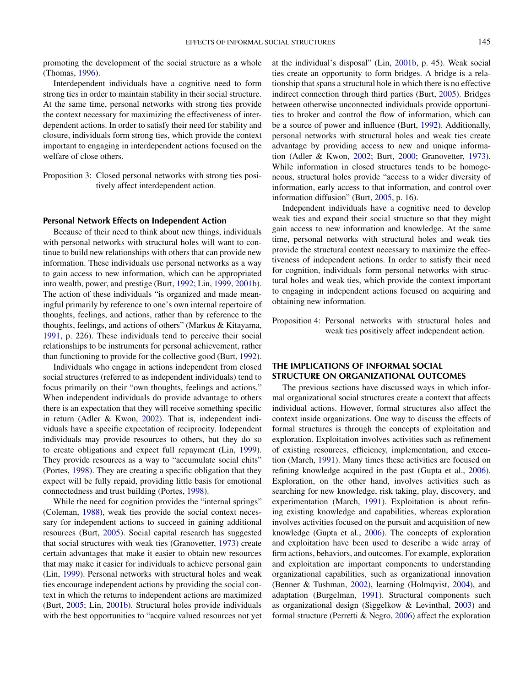promoting the development of the social structure as a whole (Thomas, [1996\)](#page-14-27).

Interdependent individuals have a cognitive need to form strong ties in order to maintain stability in their social structure. At the same time, personal networks with strong ties provide the context necessary for maximizing the effectiveness of interdependent actions. In order to satisfy their need for stability and closure, individuals form strong ties, which provide the context important to engaging in interdependent actions focused on the welfare of close others.

Proposition 3: Closed personal networks with strong ties positively affect interdependent action.

#### **Personal Network Effects on Independent Action**

Because of their need to think about new things, individuals with personal networks with structural holes will want to continue to build new relationships with others that can provide new information. These individuals use personal networks as a way to gain access to new information, which can be appropriated into wealth, power, and prestige (Burt, [1992;](#page-12-5) Lin, [1999,](#page-13-7) [2001b\)](#page-13-6). The action of these individuals "is organized and made meaningful primarily by reference to one's own internal repertoire of thoughts, feelings, and actions, rather than by reference to the thoughts, feelings, and actions of others" (Markus & Kitayama, [1991,](#page-13-15) p. 226). These individuals tend to perceive their social relationships to be instruments for personal achievement, rather than functioning to provide for the collective good (Burt, [1992\)](#page-12-5).

Individuals who engage in actions independent from closed social structures (referred to as independent individuals) tend to focus primarily on their "own thoughts, feelings and actions." When independent individuals do provide advantage to others there is an expectation that they will receive something specific in return (Adler & Kwon, [2002\)](#page-12-6). That is, independent individuals have a specific expectation of reciprocity. Independent individuals may provide resources to others, but they do so to create obligations and expect full repayment (Lin, [1999\)](#page-13-7). They provide resources as a way to "accumulate social chits" (Portes, [1998\)](#page-14-5). They are creating a specific obligation that they expect will be fully repaid, providing little basis for emotional connectedness and trust building (Portes, [1998\)](#page-14-5).

While the need for cognition provides the "internal springs" (Coleman, [1988\)](#page-13-0), weak ties provide the social context necessary for independent actions to succeed in gaining additional resources (Burt, [2005\)](#page-12-1). Social capital research has suggested that social structures with weak ties (Granovetter, [1973\)](#page-13-1) create certain advantages that make it easier to obtain new resources that may make it easier for individuals to achieve personal gain (Lin, [1999\)](#page-13-7). Personal networks with structural holes and weak ties encourage independent actions by providing the social context in which the returns to independent actions are maximized (Burt, [2005;](#page-12-1) Lin, [2001b\)](#page-13-6). Structural holes provide individuals with the best opportunities to "acquire valued resources not yet at the individual's disposal" (Lin, [2001b,](#page-13-6) p. 45). Weak social ties create an opportunity to form bridges. A bridge is a relationship that spans a structural hole in which there is no effective indirect connection through third parties (Burt, [2005\)](#page-12-1). Bridges between otherwise unconnected individuals provide opportunities to broker and control the flow of information, which can be a source of power and influence (Burt, [1992\)](#page-12-5). Additionally, personal networks with structural holes and weak ties create advantage by providing access to new and unique information (Adler & Kwon, [2002;](#page-12-6) Burt, [2000;](#page-12-8) Granovetter, [1973\)](#page-13-1). While information in closed structures tends to be homogeneous, structural holes provide "access to a wider diversity of information, early access to that information, and control over information diffusion" (Burt, [2005,](#page-12-1) p. 16).

Independent individuals have a cognitive need to develop weak ties and expand their social structure so that they might gain access to new information and knowledge. At the same time, personal networks with structural holes and weak ties provide the structural context necessary to maximize the effectiveness of independent actions. In order to satisfy their need for cognition, individuals form personal networks with structural holes and weak ties, which provide the context important to engaging in independent actions focused on acquiring and obtaining new information.

Proposition 4: Personal networks with structural holes and weak ties positively affect independent action.

## **THE IMPLICATIONS OF INFORMAL SOCIAL STRUCTURE ON ORGANIZATIONAL OUTCOMES**

The previous sections have discussed ways in which informal organizational social structures create a context that affects individual actions. However, formal structures also affect the context inside organizations. One way to discuss the effects of formal structures is through the concepts of exploitation and exploration. Exploitation involves activities such as refinement of existing resources, efficiency, implementation, and execution (March, [1991\)](#page-13-9). Many times these activities are focused on refining knowledge acquired in the past (Gupta et al., [2006\)](#page-13-10). Exploration, on the other hand, involves activities such as searching for new knowledge, risk taking, play, discovery, and experimentation (March, [1991\)](#page-13-9). Exploitation is about refining existing knowledge and capabilities, whereas exploration involves activities focused on the pursuit and acquisition of new knowledge (Gupta et al., [2006\)](#page-13-10). The concepts of exploration and exploitation have been used to describe a wide array of firm actions, behaviors, and outcomes. For example, exploration and exploitation are important components to understanding organizational capabilities, such as organizational innovation (Benner & Tushman, [2002\)](#page-12-10), learning (Holmqvist, [2004\)](#page-13-34), and adaptation (Burgelman, [1991\)](#page-12-16). Structural components such as organizational design (Siggelkow & Levinthal, [2003\)](#page-14-28) and formal structure (Perretti & Negro, [2006\)](#page-14-29) affect the exploration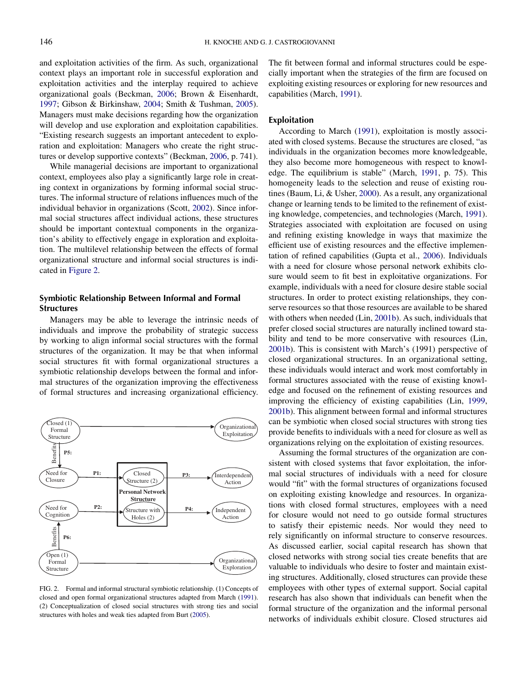and exploitation activities of the firm. As such, organizational context plays an important role in successful exploration and exploitation activities and the interplay required to achieve organizational goals (Beckman, [2006;](#page-12-17) Brown & Eisenhardt, [1997;](#page-12-18) Gibson & Birkinshaw, [2004;](#page-13-35) Smith & Tushman, [2005\)](#page-14-30). Managers must make decisions regarding how the organization will develop and use exploration and exploitation capabilities. "Existing research suggests an important antecedent to exploration and exploitation: Managers who create the right structures or develop supportive contexts" (Beckman, [2006,](#page-12-17) p. 741).

While managerial decisions are important to organizational context, employees also play a significantly large role in creating context in organizations by forming informal social structures. The informal structure of relations influences much of the individual behavior in organizations (Scott, [2002\)](#page-14-0). Since informal social structures affect individual actions, these structures should be important contextual components in the organization's ability to effectively engage in exploration and exploitation. The multilevel relationship between the effects of formal organizational structure and informal social structures is indicated in [Figure 2.](#page-8-0)

## **Symbiotic Relationship Between Informal and Formal Structures**

Managers may be able to leverage the intrinsic needs of individuals and improve the probability of strategic success by working to align informal social structures with the formal structures of the organization. It may be that when informal social structures fit with formal organizational structures a symbiotic relationship develops between the formal and informal structures of the organization improving the effectiveness of formal structures and increasing organizational efficiency.

<span id="page-8-0"></span>

FIG. 2. Formal and informal structural symbiotic relationship. (1) Concepts of closed and open formal organizational structures adapted from March [\(1991\)](#page-13-9). (2) Conceptualization of closed social structures with strong ties and social structures with holes and weak ties adapted from Burt [\(2005\)](#page-12-1).

The fit between formal and informal structures could be especially important when the strategies of the firm are focused on exploiting existing resources or exploring for new resources and capabilities (March, [1991\)](#page-13-9).

## **Exploitation**

According to March [\(1991\)](#page-13-9), exploitation is mostly associated with closed systems. Because the structures are closed, "as individuals in the organization becomes more knowledgeable, they also become more homogeneous with respect to knowledge. The equilibrium is stable" (March, [1991,](#page-13-9) p. 75). This homogeneity leads to the selection and reuse of existing routines (Baum, Li, & Usher, [2000\)](#page-12-19). As a result, any organizational change or learning tends to be limited to the refinement of existing knowledge, competencies, and technologies (March, [1991\)](#page-13-9). Strategies associated with exploitation are focused on using and refining existing knowledge in ways that maximize the efficient use of existing resources and the effective implementation of refined capabilities (Gupta et al., [2006\)](#page-13-10). Individuals with a need for closure whose personal network exhibits closure would seem to fit best in exploitative organizations. For example, individuals with a need for closure desire stable social structures. In order to protect existing relationships, they conserve resources so that those resources are available to be shared with others when needed (Lin, [2001b\)](#page-13-6). As such, individuals that prefer closed social structures are naturally inclined toward stability and tend to be more conservative with resources (Lin, [2001b\)](#page-13-6). This is consistent with March's (1991) perspective of closed organizational structures. In an organizational setting, these individuals would interact and work most comfortably in formal structures associated with the reuse of existing knowledge and focused on the refinement of existing resources and improving the efficiency of existing capabilities (Lin, [1999,](#page-13-7) [2001b\)](#page-13-6). This alignment between formal and informal structures can be symbiotic when closed social structures with strong ties provide benefits to individuals with a need for closure as well as organizations relying on the exploitation of existing resources.

Assuming the formal structures of the organization are consistent with closed systems that favor exploitation, the informal social structures of individuals with a need for closure would "fit" with the formal structures of organizations focused on exploiting existing knowledge and resources. In organizations with closed formal structures, employees with a need for closure would not need to go outside formal structures to satisfy their epistemic needs. Nor would they need to rely significantly on informal structure to conserve resources. As discussed earlier, social capital research has shown that closed networks with strong social ties create benefits that are valuable to individuals who desire to foster and maintain existing structures. Additionally, closed structures can provide these employees with other types of external support. Social capital research has also shown that individuals can benefit when the formal structure of the organization and the informal personal networks of individuals exhibit closure. Closed structures aid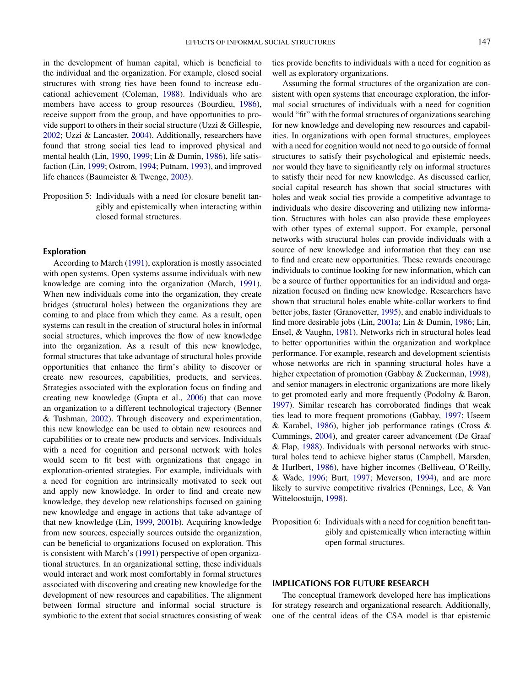in the development of human capital, which is beneficial to the individual and the organization. For example, closed social structures with strong ties have been found to increase educational achievement (Coleman, [1988\)](#page-13-0). Individuals who are members have access to group resources (Bourdieu, [1986\)](#page-12-7), receive support from the group, and have opportunities to provide support to others in their social structure (Uzzi & Gillespie, [2002;](#page-14-31) Uzzi & Lancaster, [2004\)](#page-14-32). Additionally, researchers have found that strong social ties lead to improved physical and mental health (Lin, [1990,](#page-13-36) [1999;](#page-13-7) Lin & Dumin, [1986\)](#page-13-37), life satisfaction (Lin, [1999;](#page-13-7) Ostrom, [1994;](#page-14-22) Putnam, [1993\)](#page-14-6), and improved life chances (Baumeister & Twenge, [2003\)](#page-12-20).

Proposition 5: Individuals with a need for closure benefit tangibly and epistemically when interacting within closed formal structures.

## **Exploration**

According to March [\(1991\)](#page-13-9), exploration is mostly associated with open systems. Open systems assume individuals with new knowledge are coming into the organization (March, [1991\)](#page-13-9). When new individuals come into the organization, they create bridges (structural holes) between the organizations they are coming to and place from which they came. As a result, open systems can result in the creation of structural holes in informal social structures, which improves the flow of new knowledge into the organization. As a result of this new knowledge, formal structures that take advantage of structural holes provide opportunities that enhance the firm's ability to discover or create new resources, capabilities, products, and services. Strategies associated with the exploration focus on finding and creating new knowledge (Gupta et al., [2006\)](#page-13-10) that can move an organization to a different technological trajectory (Benner & Tushman, [2002\)](#page-12-10). Through discovery and experimentation, this new knowledge can be used to obtain new resources and capabilities or to create new products and services. Individuals with a need for cognition and personal network with holes would seem to fit best with organizations that engage in exploration-oriented strategies. For example, individuals with a need for cognition are intrinsically motivated to seek out and apply new knowledge. In order to find and create new knowledge, they develop new relationships focused on gaining new knowledge and engage in actions that take advantage of that new knowledge (Lin, [1999,](#page-13-7) [2001b\)](#page-13-6). Acquiring knowledge from new sources, especially sources outside the organization, can be beneficial to organizations focused on exploration. This is consistent with March's [\(1991\)](#page-13-9) perspective of open organizational structures. In an organizational setting, these individuals would interact and work most comfortably in formal structures associated with discovering and creating new knowledge for the development of new resources and capabilities. The alignment between formal structure and informal social structure is symbiotic to the extent that social structures consisting of weak ties provide benefits to individuals with a need for cognition as well as exploratory organizations.

Assuming the formal structures of the organization are consistent with open systems that encourage exploration, the informal social structures of individuals with a need for cognition would "fit" with the formal structures of organizations searching for new knowledge and developing new resources and capabilities. In organizations with open formal structures, employees with a need for cognition would not need to go outside of formal structures to satisfy their psychological and epistemic needs, nor would they have to significantly rely on informal structures to satisfy their need for new knowledge. As discussed earlier, social capital research has shown that social structures with holes and weak social ties provide a competitive advantage to individuals who desire discovering and utilizing new information. Structures with holes can also provide these employees with other types of external support. For example, personal networks with structural holes can provide individuals with a source of new knowledge and information that they can use to find and create new opportunities. These rewards encourage individuals to continue looking for new information, which can be a source of further opportunities for an individual and organization focused on finding new knowledge. Researchers have shown that structural holes enable white-collar workers to find better jobs, faster (Granovetter, [1995\)](#page-13-38), and enable individuals to find more desirable jobs (Lin, [2001a;](#page-13-39) Lin & Dumin, [1986;](#page-13-37) Lin, Ensel, & Vaughn, [1981\)](#page-13-40). Networks rich in structural holes lead to better opportunities within the organization and workplace performance. For example, research and development scientists whose networks are rich in spanning structural holes have a higher expectation of promotion (Gabbay & Zuckerman, [1998\)](#page-13-41), and senior managers in electronic organizations are more likely to get promoted early and more frequently (Podolny & Baron, [1997\)](#page-14-33). Similar research has corroborated findings that weak ties lead to more frequent promotions (Gabbay, [1997;](#page-13-42) Useem & Karabel, [1986\)](#page-14-34), higher job performance ratings (Cross & Cummings, [2004\)](#page-13-43), and greater career advancement (De Graaf & Flap, [1988\)](#page-13-44). Individuals with personal networks with structural holes tend to achieve higher status (Campbell, Marsden, & Hurlbert, [1986\)](#page-13-45), have higher incomes (Belliveau, O'Reilly, & Wade, [1996;](#page-12-21) Burt, [1997;](#page-12-22) Meverson, [1994\)](#page-13-46), and are more likely to survive competitive rivalries (Pennings, Lee, & Van Witteloostuijn, [1998\)](#page-14-35).

Proposition 6: Individuals with a need for cognition benefit tangibly and epistemically when interacting within open formal structures.

## **IMPLICATIONS FOR FUTURE RESEARCH**

The conceptual framework developed here has implications for strategy research and organizational research. Additionally, one of the central ideas of the CSA model is that epistemic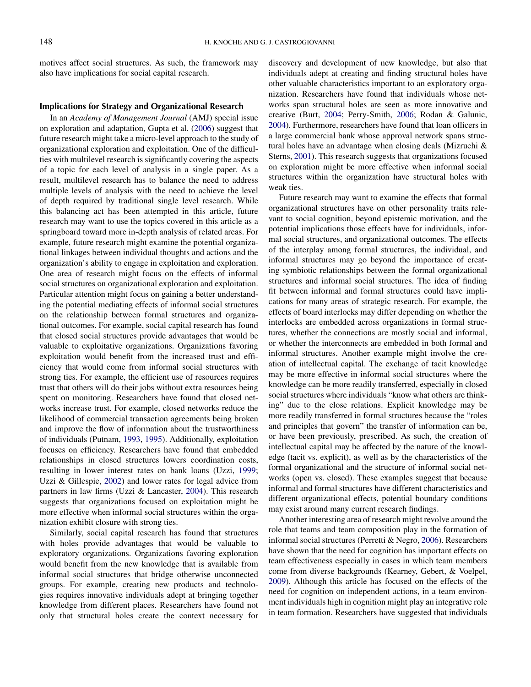motives affect social structures. As such, the framework may also have implications for social capital research.

#### **Implications for Strategy and Organizational Research**

In an *Academy of Management Journal* (AMJ) special issue on exploration and adaptation, Gupta et al. [\(2006\)](#page-13-10) suggest that future research might take a micro-level approach to the study of organizational exploration and exploitation. One of the difficulties with multilevel research is significantly covering the aspects of a topic for each level of analysis in a single paper. As a result, multilevel research has to balance the need to address multiple levels of analysis with the need to achieve the level of depth required by traditional single level research. While this balancing act has been attempted in this article, future research may want to use the topics covered in this article as a springboard toward more in-depth analysis of related areas. For example, future research might examine the potential organizational linkages between individual thoughts and actions and the organization's ability to engage in exploitation and exploration. One area of research might focus on the effects of informal social structures on organizational exploration and exploitation. Particular attention might focus on gaining a better understanding the potential mediating effects of informal social structures on the relationship between formal structures and organizational outcomes. For example, social capital research has found that closed social structures provide advantages that would be valuable to exploitative organizations. Organizations favoring exploitation would benefit from the increased trust and efficiency that would come from informal social structures with strong ties. For example, the efficient use of resources requires trust that others will do their jobs without extra resources being spent on monitoring. Researchers have found that closed networks increase trust. For example, closed networks reduce the likelihood of commercial transaction agreements being broken and improve the flow of information about the trustworthiness of individuals (Putnam, [1993,](#page-14-6) [1995\)](#page-14-25). Additionally, exploitation focuses on efficiency. Researchers have found that embedded relationships in closed structures lowers coordination costs, resulting in lower interest rates on bank loans (Uzzi, [1999;](#page-14-36) Uzzi & Gillespie, [2002\)](#page-14-31) and lower rates for legal advice from partners in law firms (Uzzi & Lancaster, [2004\)](#page-14-32). This research suggests that organizations focused on exploitation might be more effective when informal social structures within the organization exhibit closure with strong ties.

Similarly, social capital research has found that structures with holes provide advantages that would be valuable to exploratory organizations. Organizations favoring exploration would benefit from the new knowledge that is available from informal social structures that bridge otherwise unconnected groups. For example, creating new products and technologies requires innovative individuals adept at bringing together knowledge from different places. Researchers have found not only that structural holes create the context necessary for

discovery and development of new knowledge, but also that individuals adept at creating and finding structural holes have other valuable characteristics important to an exploratory organization. Researchers have found that individuals whose networks span structural holes are seen as more innovative and creative (Burt, [2004;](#page-12-23) Perry-Smith, [2006;](#page-14-37) Rodan & Galunic, [2004\)](#page-14-38). Furthermore, researchers have found that loan officers in a large commercial bank whose approval network spans structural holes have an advantage when closing deals (Mizruchi & Sterns, [2001\)](#page-14-39). This research suggests that organizations focused on exploration might be more effective when informal social structures within the organization have structural holes with weak ties.

Future research may want to examine the effects that formal organizational structures have on other personality traits relevant to social cognition, beyond epistemic motivation, and the potential implications those effects have for individuals, informal social structures, and organizational outcomes. The effects of the interplay among formal structures, the individual, and informal structures may go beyond the importance of creating symbiotic relationships between the formal organizational structures and informal social structures. The idea of finding fit between informal and formal structures could have implications for many areas of strategic research. For example, the effects of board interlocks may differ depending on whether the interlocks are embedded across organizations in formal structures, whether the connections are mostly social and informal, or whether the interconnects are embedded in both formal and informal structures. Another example might involve the creation of intellectual capital. The exchange of tacit knowledge may be more effective in informal social structures where the knowledge can be more readily transferred, especially in closed social structures where individuals "know what others are thinking" due to the close relations. Explicit knowledge may be more readily transferred in formal structures because the "roles and principles that govern" the transfer of information can be, or have been previously, prescribed. As such, the creation of intellectual capital may be affected by the nature of the knowledge (tacit vs. explicit), as well as by the characteristics of the formal organizational and the structure of informal social networks (open vs. closed). These examples suggest that because informal and formal structures have different characteristics and different organizational effects, potential boundary conditions may exist around many current research findings.

Another interesting area of research might revolve around the role that teams and team composition play in the formation of informal social structures (Perretti & Negro, [2006\)](#page-14-29). Researchers have shown that the need for cognition has important effects on team effectiveness especially in cases in which team members come from diverse backgrounds (Kearney, Gebert, & Voelpel, [2009\)](#page-13-47). Although this article has focused on the effects of the need for cognition on independent actions, in a team environment individuals high in cognition might play an integrative role in team formation. Researchers have suggested that individuals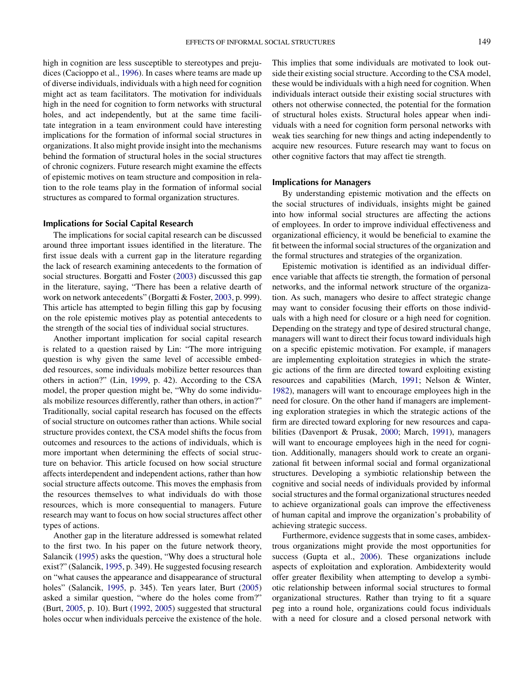high in cognition are less susceptible to stereotypes and prejudices (Cacioppo et al., [1996\)](#page-12-12). In cases where teams are made up of diverse individuals, individuals with a high need for cognition might act as team facilitators. The motivation for individuals high in the need for cognition to form networks with structural holes, and act independently, but at the same time facilitate integration in a team environment could have interesting implications for the formation of informal social structures in organizations. It also might provide insight into the mechanisms behind the formation of structural holes in the social structures of chronic cognizers. Future research might examine the effects of epistemic motives on team structure and composition in relation to the role teams play in the formation of informal social structures as compared to formal organization structures.

#### **Implications for Social Capital Research**

The implications for social capital research can be discussed around three important issues identified in the literature. The first issue deals with a current gap in the literature regarding the lack of research examining antecedents to the formation of social structures. Borgatti and Foster [\(2003\)](#page-12-11) discussed this gap in the literature, saying, "There has been a relative dearth of work on network antecedents" (Borgatti & Foster, [2003,](#page-12-11) p. 999). This article has attempted to begin filling this gap by focusing on the role epistemic motives play as potential antecedents to the strength of the social ties of individual social structures.

Another important implication for social capital research is related to a question raised by Lin: "The more intriguing question is why given the same level of accessible embedded resources, some individuals mobilize better resources than others in action?" (Lin, [1999,](#page-13-7) p. 42). According to the CSA model, the proper question might be, "Why do some individuals mobilize resources differently, rather than others, in action?" Traditionally, social capital research has focused on the effects of social structure on outcomes rather than actions. While social structure provides context, the CSA model shifts the focus from outcomes and resources to the actions of individuals, which is more important when determining the effects of social structure on behavior. This article focused on how social structure affects interdependent and independent actions, rather than how social structure affects outcome. This moves the emphasis from the resources themselves to what individuals do with those resources, which is more consequential to managers. Future research may want to focus on how social structures affect other types of actions.

Another gap in the literature addressed is somewhat related to the first two. In his paper on the future network theory, Salancik [\(1995\)](#page-14-7) asks the question, "Why does a structural hole exist?" (Salancik, [1995,](#page-14-7) p. 349). He suggested focusing research on "what causes the appearance and disappearance of structural holes" (Salancik, [1995,](#page-14-7) p. 345). Ten years later, Burt [\(2005\)](#page-12-1) asked a similar question, "where do the holes come from?" (Burt, [2005,](#page-12-1) p. 10). Burt [\(1992,](#page-12-5) [2005\)](#page-12-1) suggested that structural holes occur when individuals perceive the existence of the hole. This implies that some individuals are motivated to look outside their existing social structure. According to the CSA model, these would be individuals with a high need for cognition. When individuals interact outside their existing social structures with others not otherwise connected, the potential for the formation of structural holes exists. Structural holes appear when individuals with a need for cognition form personal networks with weak ties searching for new things and acting independently to acquire new resources. Future research may want to focus on other cognitive factors that may affect tie strength.

#### **Implications for Managers**

By understanding epistemic motivation and the effects on the social structures of individuals, insights might be gained into how informal social structures are affecting the actions of employees. In order to improve individual effectiveness and organizational efficiency, it would be beneficial to examine the fit between the informal social structures of the organization and the formal structures and strategies of the organization.

Epistemic motivation is identified as an individual difference variable that affects tie strength, the formation of personal networks, and the informal network structure of the organization. As such, managers who desire to affect strategic change may want to consider focusing their efforts on those individuals with a high need for closure or a high need for cognition. Depending on the strategy and type of desired structural change, managers will want to direct their focus toward individuals high on a specific epistemic motivation. For example, if managers are implementing exploitation strategies in which the strategic actions of the firm are directed toward exploiting existing resources and capabilities (March, [1991;](#page-13-9) Nelson & Winter, [1982\)](#page-14-40), managers will want to encourage employees high in the need for closure. On the other hand if managers are implementing exploration strategies in which the strategic actions of the firm are directed toward exploring for new resources and capabilities (Davenport & Prusak, [2000;](#page-13-2) March, [1991\)](#page-13-9), managers will want to encourage employees high in the need for cognition. Additionally, managers should work to create an organizational fit between informal social and formal organizational structures. Developing a symbiotic relationship between the cognitive and social needs of individuals provided by informal social structures and the formal organizational structures needed to achieve organizational goals can improve the effectiveness of human capital and improve the organization's probability of achieving strategic success.

Furthermore, evidence suggests that in some cases, ambidextrous organizations might provide the most opportunities for success (Gupta et al., [2006\)](#page-13-10). These organizations include aspects of exploitation and exploration. Ambidexterity would offer greater flexibility when attempting to develop a symbiotic relationship between informal social structures to formal organizational structures. Rather than trying to fit a square peg into a round hole, organizations could focus individuals with a need for closure and a closed personal network with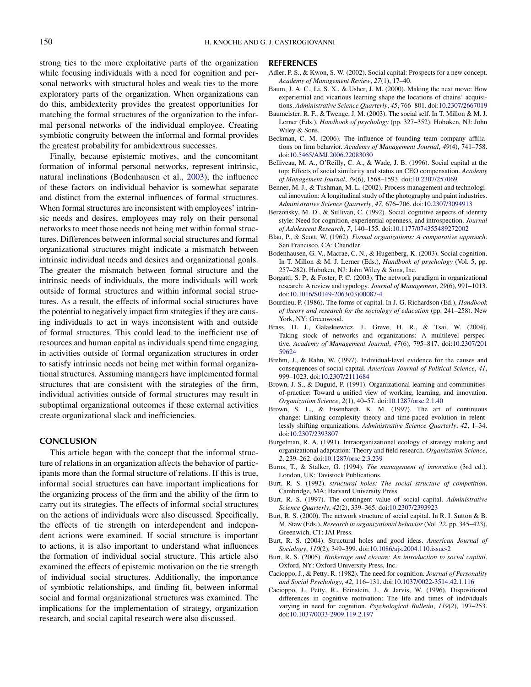strong ties to the more exploitative parts of the organization while focusing individuals with a need for cognition and personal networks with structural holes and weak ties to the more exploratory parts of the organization. When organizations can do this, ambidexterity provides the greatest opportunities for matching the formal structures of the organization to the informal personal networks of the individual employee. Creating symbiotic congruity between the informal and formal provides the greatest probability for ambidextrous successes.

Finally, because epistemic motives, and the concomitant formation of informal personal networks, represent intrinsic, natural inclinations (Bodenhausen et al., [2003\)](#page-12-9), the influence of these factors on individual behavior is somewhat separate and distinct from the external influences of formal structures. When formal structures are inconsistent with employees' intrinsic needs and desires, employees may rely on their personal networks to meet those needs not being met within formal structures. Differences between informal social structures and formal organizational structures might indicate a mismatch between intrinsic individual needs and desires and organizational goals. The greater the mismatch between formal structure and the intrinsic needs of individuals, the more individuals will work outside of formal structures and within informal social structures. As a result, the effects of informal social structures have the potential to negatively impact firm strategies if they are causing individuals to act in ways inconsistent with and outside of formal structures. This could lead to the inefficient use of resources and human capital as individuals spend time engaging in activities outside of formal organization structures in order to satisfy intrinsic needs not being met within formal organizational structures. Assuming managers have implemented formal structures that are consistent with the strategies of the firm, individual activities outside of formal structures may result in suboptimal organizational outcomes if these external activities create organizational slack and inefficiencies.

### **CONCLUSION**

This article began with the concept that the informal structure of relations in an organization affects the behavior of participants more than the formal structure of relations. If this is true, informal social structures can have important implications for the organizing process of the firm and the ability of the firm to carry out its strategies. The effects of informal social structures on the actions of individuals were also discussed. Specifically, the effects of tie strength on interdependent and independent actions were examined. If social structure is important to actions, it is also important to understand what influences the formation of individual social structure. This article also examined the effects of epistemic motivation on the tie strength of individual social structures. Additionally, the importance of symbiotic relationships, and finding fit, between informal social and formal organizational structures was examined. The implications for the implementation of strategy, organization research, and social capital research were also discussed.

### **REFERENCES**

- <span id="page-12-6"></span>Adler, P. S., & Kwon, S. W. (2002). Social capital: Prospects for a new concept. *Academy of Management Review*, *27*(1), 17–40.
- <span id="page-12-19"></span>Baum, J. A. C., Li, S. X., & Usher, J. M. (2000). Making the next move: How experiential and vicarious learning shape the locations of chains' acquisitions. *Administrative Science Quarterly*, *45*, 766–801. doi[:10.2307/2667019](http://dx.doi.org/10.2307/2667019)
- <span id="page-12-20"></span>Baumeister, R. F., & Twenge, J. M. (2003). The social self. In T. Millon & M. J. Lerner (Eds.), *Handbook of psychology* (pp. 327–352). Hoboken, NJ: John Wiley & Sons.
- <span id="page-12-17"></span>Beckman, C. M. (2006). The influence of founding team company affiliations on firm behavior. *Academy of Management Journal*, *49*(4), 741–758. doi[:10.5465/AMJ.2006.22083030](http://dx.doi.org/10.5465/AMJ.2006.22083030)
- <span id="page-12-21"></span>Belliveau, M. A., O'Reilly, C. A., & Wade, J. B. (1996). Social capital at the top: Effects of social similarity and status on CEO compensation. *Academy of Management Journal*, *39*(6), 1568–1593. doi[:10.2307/257069](http://dx.doi.org/10.2307/257069)
- <span id="page-12-10"></span>Benner, M. J., & Tushman, M. L. (2002). Process management and technological innovation: A longitudinal study of the photography and paint industries. *Administrative Science Quarterly*, *47*, 676–706. doi[:10.2307/3094913](http://dx.doi.org/10.2307/3094913)
- <span id="page-12-14"></span>Berzonsky, M. D., & Sullivan, C. (1992). Social cognitive aspects of identity style: Need for cognition, experiential openness, and introspection. *Journal of Adolescent Research*, *7*, 140–155. doi[:10.1177/074355489272002](http://dx.doi.org/10.1177/074355489272002)
- <span id="page-12-3"></span>Blau, P., & Scott, W. (1962). *Formal organizations: A comparative approach*. San Francisco, CA: Chandler.
- <span id="page-12-9"></span>Bodenhausen, G. V., Macrae, C. N., & Hugenberg, K. (2003). Social cognition. In T. Millon & M. J. Lerner (Eds.), *Handbook of psychology* (Vol. 5, pp. 257–282). Hoboken, NJ: John Wiley & Sons, Inc.
- <span id="page-12-11"></span>Borgatti, S. P., & Foster, P. C. (2003). The network paradigm in organizational research: A review and typology. *Journal of Management*, *29*(6), 991–1013. doi[:10.1016/S0149-2063\(03\)00087-4](http://dx.doi.org/10.1016/S0149-2063(03)00087-4)
- <span id="page-12-7"></span>Bourdieu, P. (1986). The forms of capital. In J. G. Richardson (Ed.), *Handbook of theory and research for the sociology of education* (pp. 241–258). New York, NY: Greenwood.
- <span id="page-12-0"></span>Brass, D. J., Galaskiewicz, J., Greve, H. R., & Tsai, W. (2004). Taking stock of networks and organizations: A multilevel perspective. *[Academy of Management Journal](http://dx.doi.org/10.2307/201\gdef yes{no}\penalty -\@M \gdef \ {\penalty -\@M }\gdef no{no}\gdef yes{yes}\gdef \ \gdef \ {\ }\gdef no{no}\gdef yes{yes}{\penalty -\@M \gdef \ {\penalty -\@M }\gdef no{no}\gdef yes{yes}}59624)*, *47*(6), 795–817. doi:[10.2307/201](http://dx.doi.org/10.2307/20159624) [59624](http://dx.doi.org/10.2307/20159624)
- <span id="page-12-15"></span>Brehm, J., & Rahn, W. (1997). Individual-level evidence for the causes and consequences of social capital. *American Journal of Political Science*, *41*, 999–1023. doi[:10.2307/2111684](http://dx.doi.org/10.2307/2111684)
- <span id="page-12-4"></span>Brown, J. S., & Duguid, P. (1991). Organizational learning and communitiesof-practice: Toward a unified view of working, learning, and innovation. *Organization Science*, *2*(1), 40–57. doi[:10.1287/orsc.2.1.40](http://dx.doi.org/10.1287/orsc.2.1.40)
- <span id="page-12-18"></span>Brown, S. L., & Eisenhardt, K. M. (1997). The art of continuous change: Linking complexity theory and time-paced evolution in relentlessly shifting organizations. *Administrative Science Quarterly*, *42*, 1–34. doi[:10.2307/2393807](http://dx.doi.org/10.2307/2393807)
- <span id="page-12-16"></span>Burgelman, R. A. (1991). Intraorganizational ecology of strategy making and organizational adaptation: Theory and field research. *Organization Science*, *2*, 239–262. doi[:10.1287/orsc.2.3.239](http://dx.doi.org/10.1287/orsc.2.3.239)
- <span id="page-12-2"></span>Burns, T., & Stalker, G. (1994). *The management of innovation* (3rd ed.). London, UK: Tavistock Publications.
- <span id="page-12-5"></span>Burt, R. S. (1992). *structural holes: The social structure of competition*. Cambridge, MA: Harvard University Press.
- <span id="page-12-22"></span>Burt, R. S. (1997). The contingent value of social capital. *Administrative Science Quarterly*, *42*(2), 339–365. doi[:10.2307/2393923](http://dx.doi.org/10.2307/2393923)
- <span id="page-12-8"></span>Burt, R. S. (2000). The network structure of social capital. In R. I. Sutton & B. M. Staw (Eds.), *Research in organizational behavior* (Vol. 22, pp. 345–423). Greenwich, CT: JAI Press.
- <span id="page-12-23"></span>Burt, R. S. (2004). Structural holes and good ideas. *American Journal of Sociology*, *110*(2), 349–399. doi[:10.1086/ajs.2004.110.issue-2](http://dx.doi.org/10.1086/ajs.2004.110.issue-2)
- <span id="page-12-1"></span>Burt, R. S. (2005). *Brokerage and closure: An introduction to social capital*. Oxford, NY: Oxford University Press, Inc.
- <span id="page-12-13"></span>Cacioppo, J., & Petty, R. (1982). The need for cognition. *Journal of Personality and Social Psychology*, *42*, 116–131. doi[:10.1037/0022-3514.42.1.116](http://dx.doi.org/10.1037/0022-3514.42.1.116)
- <span id="page-12-12"></span>Cacioppo, J., Petty, R., Feinstein, J., & Jarvis, W. (1996). Dispositional differences in cognitive motivation: The life and times of individuals varying in need for cognition. *Psychological Bulletin*, *119*(2), 197–253. doi[:10.1037/0033-2909.119.2.197](http://dx.doi.org/10.1037/0033-2909.119.2.197)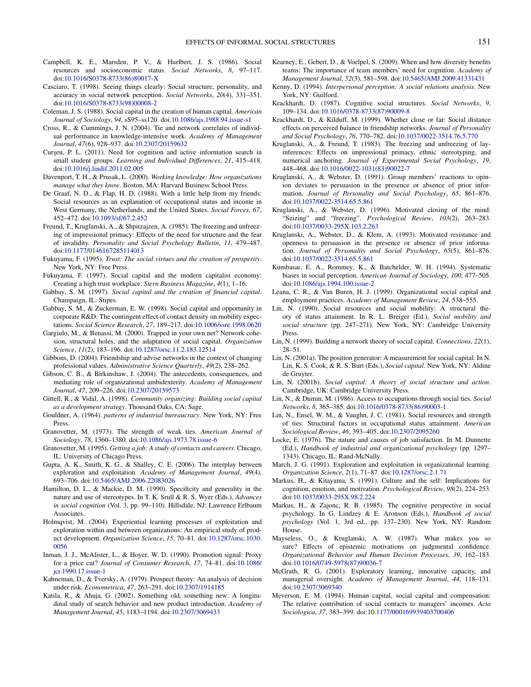- <span id="page-13-45"></span>Campbell, K. E., Marsden, P. V., & Hurlbert, J. S. (1986). Social resources and socioeconomic status. *Social Networks*, *8*, 97–117. doi[:10.1016/S0378-8733\(86\)80017-X](http://dx.doi.org/10.1016/S0378-8733(86)80017-X)
- <span id="page-13-19"></span>Casciaro, T. (1998). Seeing things clearly: Social structure, personality, and accuracy in social network perception. *Social Networks*, *20*(4), 331–351. doi[:10.1016/S0378-8733\(98\)00008-2](http://dx.doi.org/10.1016/S0378-8733(98)00008-2)
- <span id="page-13-0"></span>Coleman, J. S. (1988). Social capital in the creation of human capital. *American Journal of Sociology*, *94*, sS95–ss120. doi[:10.1086/ajs.1988.94.issue-s1](http://dx.doi.org/10.1086/ajs.1988.94.issue-s1)
- <span id="page-13-43"></span>Cross, R., & Cummings, J. N. (2004). Tie and network correlates of individual performance in knowledge-intensive work. *Academy of Management Journal*, *47*(6), 928–937. doi[:10.2307/20159632](http://dx.doi.org/10.2307/20159632)
- <span id="page-13-30"></span>Curşeu, P. L. (2011). Need for cognition and active information search in small student groups. *Learning and Individual Differences*, *21*, 415–418. doi[:10.1016/j.lindif.2011.02.005](http://dx.doi.org/10.1016/j.lindif.2011.02.005)
- <span id="page-13-2"></span>Davenport, T. H., & Prusak, L. (2000). *Working knowledge: How organizations manage what they know*. Boston, MA: Harvard Business School Press.
- <span id="page-13-44"></span>De Graaf, N. D., & Flap, H. D. (1988). With a little help from my friends: Social resources as an explanation of occupational status and income in West Germany, the Netherlands, and the United States. *Social Forces*, *67*, 452–472. doi[:10.1093/sf/67.2.452](http://dx.doi.org/10.1093/sf/67.2.452)
- <span id="page-13-26"></span>Freund, T., Kruglanski, A., & Shpitzajzen, A. (1985). The freezing and unfreezing of impressional primacy: Effects of the need for structure and the fear of invalidity. *Personality and Social Psychology Bulletin*, *11*, 479–487. doi[:10.1177/0146167285114013](http://dx.doi.org/10.1177/0146167285114013)
- <span id="page-13-33"></span>Fukuyama, F. (1995). *Trust: The social virtues and the creation of prosperity*. New York, NY: Free Press.
- <span id="page-13-31"></span>Fukuyama, F. (1997). Social capital and the modern capitalist economy: Creating a high trust workplace. *Stern Business Magazine*, *4*(1), 1–16.
- <span id="page-13-42"></span>Gabbay, S. M. (1997). *Social capital and the creation of financial capital*. Champaign, IL: Stipes.
- <span id="page-13-41"></span>Gabbay, S. M., & Zuckerman, E. W. (1998). Social capital and opportunity in corporate R&D: The contingent effect of contact density on mobility expectations. *Social Science Research*, *27*, 189–217. doi[:10.1006/ssre.1998.0620](http://dx.doi.org/10.1006/ssre.1998.0620)
- <span id="page-13-17"></span>Gargiulo, M., & Benassi, M. (2000). Trapped in your own net? Network cohesion, structural holes, and the adaptation of social capital. *Organization Science*, *11*(2), 183–196. doi[:10.1287/orsc.11.2.183.12514](http://dx.doi.org/10.1287/orsc.11.2.183.12514)
- <span id="page-13-4"></span>Gibbons, D. (2004). Friendship and advise networks in the context of changing professional values. *Administrative Science Quarterly*, *49*(2), 238–262.
- <span id="page-13-35"></span>Gibson, C. B., & Birkinshaw, J. (2004). The antecedents, consequences, and mediating role of organizational ambidexterity. *Academy of Management Journal*, *47*, 209–226. doi[:10.2307/20159573](http://dx.doi.org/10.2307/20159573)
- <span id="page-13-32"></span>Gittell, R., & Vidal, A. (1998). *Community organizing: Building social capital as a development strategy*. Thousand Oaks, CA: Sage.
- <span id="page-13-5"></span>Gouldner, A. (1964). *patterns of industrial bureaucracy*. New York, NY: Free Press.
- <span id="page-13-1"></span>Granovetter, M. (1973). The strength of weak ties. *American Journal of Sociology*, *78*, 1360–1380. doi[:10.1086/ajs.1973.78.issue-6](http://dx.doi.org/10.1086/ajs.1973.78.issue-6)
- <span id="page-13-38"></span>Granovetter, M. (1995). *Getting a job: A study of contacts and careers*. Chicago, IL: University of Chicago Press.
- <span id="page-13-10"></span>Gupta, A. K., Smith, K. G., & Shalley, C. E. (2006). The interplay between exploration and exploitation. *Academy of Management Journal*, *49*(4), 693–706. doi[:10.5465/AMJ.2006.22083026](http://dx.doi.org/10.5465/AMJ.2006.22083026)
- <span id="page-13-18"></span>Hamilton, D. L., & Mackie, D. M. (1990). Specificity and generality in the nature and use of stereotypes. In T. K. Srull & R. S. Wyer (Eds.), *Advances in social cognition* (Vol. 3, pp. 99–110). Hillsdale, NJ: Lawrence Erlbaum Associates.
- <span id="page-13-34"></span>Holmqvist, M. (2004). Experiential learning processes of exploitation and exploration within and between organizations: An empirical study of product development. *[Organization Science](http://dx.doi.org/10.1287/\gdef yes{no}\penalty \z@ \gdef \ {\penalty \z@ }\gdef no{no}\gdef yes{yes}\gdef \ \gdef \ {\ }\gdef no{no}\gdef yes{yes}{\penalty \z@ \gdef \ {\penalty \z@ }\gdef no{no}\gdef yes{yes}}orsc.1030.\gdef yes{no}\penalty \z@ \gdef \ {\penalty \z@ }\gdef no{no}\gdef yes{yes}\gdef \ \gdef \ {\ }\gdef no{no}\gdef yes{yes}{\penalty \z@ \gdef \ {\penalty \z@ }\gdef no{no}\gdef yes{yes}}0056)*, *15*, 70–81. doi:10.1287/orsc.1030. 0056
- <span id="page-13-29"></span>Inman, J. J., McAlister, L., & Hoyer, W. D. (1990). Promotion signal: Proxy for a price cut? *Journal of Consumer Research*, *17*, 74–81. doi:[10.1086/](http://dx.doi.org/10.1086/jcr.1990.17.issue-1) [jcr.1990.17.issue-1](http://dx.doi.org/10.1086/jcr.1990.17.issue-1)
- <span id="page-13-28"></span>Kahneman, D., & Tversky, A. (1979). Prospect theory: An analysis of decision under risk. *Econometrica*, *47*, 263–291. doi[:10.2307/1914185](http://dx.doi.org/10.2307/1914185)
- <span id="page-13-11"></span>Katila, R., & Ahuja, G. (2002). Something old, something new: A longitudinal study of search behavior and new product introduction. *Academy of Management Journal*, *45*, 1183–1194. doi[:10.2307/3069433](http://dx.doi.org/10.2307/3069433)
- <span id="page-13-47"></span>Kearney, E., Gebert, D., & Voelpel, S. (2009). When and how diversity benefits teams: The importance of team members' need for cognition. *Academy of Management Journal*, *52*(3), 581–598. doi[:10.5465/AMJ.2009.41331431](http://dx.doi.org/10.5465/AMJ.2009.41331431)
- <span id="page-13-20"></span>Kenny, D. (1994). *Interpersonal perception: A social relations analysis*. New York, NY: Guilford.
- <span id="page-13-13"></span>Krackhardt, D. (1987). Cognitive social structures. *Social Networks*, *9*, 109–134. doi[:10.1016/0378-8733\(87\)90009-8](http://dx.doi.org/10.1016/0378-8733(87)90009-8)
- <span id="page-13-21"></span>Krackhardt, D., & Kilduff, M. (1999). Whether close or far: Social distance effects on perceived balance in friendship networks. *Journal of Personality and Social Psychology*, *76*, 770–782. doi[:10.1037/0022-3514.76.5.770](http://dx.doi.org/10.1037/0022-3514.76.5.770)
- <span id="page-13-27"></span>Kruglanski, A., & Freund, T. (1983). The freezing and unfreezing of layinferences: Effects on impressional primacy, ethnic stereotyping, and numerical anchoring. *Journal of Experimental Social Psychology*, *19*, 448–468. doi[:10.1016/0022-1031\(83\)90022-7](http://dx.doi.org/10.1016/0022-1031(83)90022-7)
- <span id="page-13-24"></span>Kruglanski, A., & Webster, D. (1991). Group members' reactions to opinion deviates to persuasion in the presence or absence of prior information. *Journal of Personality and Social Psychology*, *65*, 861–876. doi[:10.1037/0022-3514.65.5.861](http://dx.doi.org/10.1037/0022-3514.65.5.861)
- <span id="page-13-8"></span>Kruglanski, A., & Webster, D. (1996). Motivated closing of the mind: "Seizing" and "freezing". *Psychological Review*, *103*(2), 263–283. doi[:10.1037/0033-295X.103.2.263](http://dx.doi.org/10.1037/0033-295X.103.2.263)
- <span id="page-13-25"></span>Kruglanski, A., Webster, D., & Klem, A. (1993). Motivated resistance and openness to persuasion in the presence or absence of prior information. *Journal of Personality and Social Psychology*, *65*(5), 861–876. doi[:10.1037/0022-3514.65.5.861](http://dx.doi.org/10.1037/0022-3514.65.5.861)
- <span id="page-13-22"></span>Kumbasar, E. A., Rommey, K., & Batchelder, W. H. (1994). Systematic biases in social perception. *American Journal of Sociology*, *100*, 477–505. doi[:10.1086/ajs.1994.100.issue-2](http://dx.doi.org/10.1086/ajs.1994.100.issue-2)
- <span id="page-13-3"></span>Leana, C. R., & Van Buren, H. J. (1999). Organizational social capital and employment practices. *Academy of Management Review*, *24*, 538–555.
- <span id="page-13-36"></span>Lin, N. (1990). Social resources and social mobility: A structural theory of status attainment. In R. L. Breiger (Ed.), *Social mobility and social structure* (pp. 247–271). New York, NY: Cambridge University Press.
- <span id="page-13-7"></span>Lin, N. (1999). Building a network theory of social capital. *Connections*, *22*(1), 28–51.
- <span id="page-13-39"></span>Lin, N. (2001a). The position generator: A measurement for social capital. In N. Lin, K. S. Cook, & R. S. Burt (Eds.), *Social capital*. New York, NY: Aldine de Gruyter.
- <span id="page-13-6"></span>Lin, N. (2001b). *Social capital: A theory of social structure and action*. Cambridge, UK: Cambridge University Press.
- <span id="page-13-37"></span>Lin, N., & Dumin, M. (1986). Access to occupations through social ties. *Social Networks*, *8*, 365–385. doi[:10.1016/0378-8733\(86\)90003-1](http://dx.doi.org/10.1016/0378-8733(86)90003-1)
- <span id="page-13-40"></span>Lin, N., Ensel, W. M., & Vaughn, J. C. (1981). Social resources and strength of ties: Structural factors in occupational status attainment. *American Sociological Review*, *46*, 393–405. doi[:10.2307/2095260](http://dx.doi.org/10.2307/2095260)
- <span id="page-13-16"></span>Locke, E. (1976). The nature and causes of job satisfaction. In M. Dunnette (Ed.), *Handbook of industrial and organizational psychology* (pp. 1297– 1343). Chicago, IL: Rand-McNally.
- <span id="page-13-9"></span>March, J. G. (1991). Exploration and exploitation in organizational learning. *Organization Science*, *2*(1), 71–87. doi[:10.1287/orsc.2.1.71](http://dx.doi.org/10.1287/orsc.2.1.71)
- <span id="page-13-15"></span>Markus, H., & Kitayama, S. (1991). Culture and the self: Implications for cognition, emotion, and motivation. *Psychological Review*, *98*(2), 224–253. doi[:10.1037/0033-295X.98.2.224](http://dx.doi.org/10.1037/0033-295X.98.2.224)
- <span id="page-13-14"></span>Markus, H., & Zajonc, R. B. (1985). The cognitive perspective in social psychology. In G. Lindzey & E. Aronson (Eds.), *Handbook of social psychology* (Vol. 1, 3rd ed., pp. 137–230). New York, NY: Random House.
- <span id="page-13-23"></span>Mayseless, O., & Kruglanski, A. W. (1987). What makes you so sure? Effects of epistemic motivations on judgmental confidence. *Organizational Behavior and Human Decision Processes*, *39*, 162–183. doi[:10.1016/0749-5978\(87\)90036-7](http://dx.doi.org/10.1016/0749-5978(87)90036-7)
- <span id="page-13-12"></span>McGrath, R. G. (2001). Exploratory learning, innovative capacity, and managerial oversight. *Academy of Management Journal*, *44*, 118–131. doi[:10.2307/3069340](http://dx.doi.org/10.2307/3069340)
- <span id="page-13-46"></span>Meverson, E. M. (1994). Human capital, social capital and compensation: The relative contribution of social contacts to managers' incomes. *Acta Sociologica*, *37*, 383–399. doi[:10.1177/000169939403700406](http://dx.doi.org/10.1177/000169939403700406)